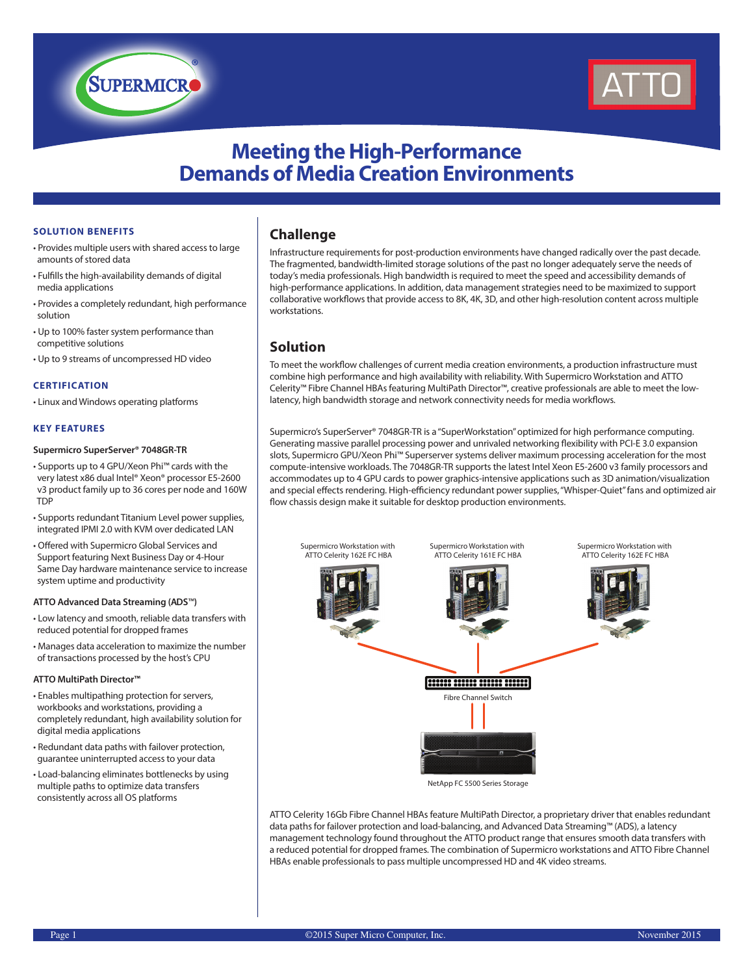

# **Meeting the High-Performance Demands of Media Creation Environments**

## **SOLUTION BENEFITS**

• Provides multiple users with shared access to large amounts of stored data

**SUPERMICR** 

- Fulfills the high-availability demands of digital media applications
- Provides a completely redundant, high performance solution
- Up to 100% faster system performance than competitive solutions
- Up to 9 streams of uncompressed HD video

#### **CERTIFICATION**

• Linux and Windows operating platforms

## **KEY FEATURES**

#### **Supermicro SuperServer® 7048GR-TR**

- Supports up to 4 GPU/Xeon Phi™ cards with the very latest x86 dual Intel® Xeon® processor E5-2600 v3 product family up to 36 cores per node and 160W TDP
- Supports redundant Titanium Level power supplies, integrated IPMI 2.0 with KVM over dedicated LAN
- Offered with Supermicro Global Services and Support featuring Next Business Day or 4-Hour Same Day hardware maintenance service to increase system uptime and productivity

#### **ATTO Advanced Data Streaming (ADS**™**)**

- Low latency and smooth, reliable data transfers with reduced potential for dropped frames
- Manages data acceleration to maximize the number of transactions processed by the host's CPU

#### **ATTO MultiPath Director™**

- Enables multipathing protection for servers, workbooks and workstations, providing a completely redundant, high availability solution for digital media applications
- Redundant data paths with failover protection, guarantee uninterrupted access to your data
- Load-balancing eliminates bottlenecks by using multiple paths to optimize data transfers consistently across all OS platforms

# **Challenge**

Infrastructure requirements for post-production environments have changed radically over the past decade. The fragmented, bandwidth-limited storage solutions of the past no longer adequately serve the needs of today's media professionals. High bandwidth is required to meet the speed and accessibility demands of high-performance applications. In addition, data management strategies need to be maximized to support collaborative workflows that provide access to 8K, 4K, 3D, and other high-resolution content across multiple workstations.

# **Solution**

To meet the workflow challenges of current media creation environments, a production infrastructure must combine high performance and high availability with reliability. With Supermicro Workstation and ATTO Celerity™ Fibre Channel HBAs featuring MultiPath Director™, creative professionals are able to meet the lowlatency, high bandwidth storage and network connectivity needs for media workflows.

Supermicro's SuperServer® 7048GR-TR is a "SuperWorkstation" optimized for high performance computing. Generating massive parallel processing power and unrivaled networking flexibility with PCI-E 3.0 expansion slots, Supermicro GPU/Xeon Phi™ Superserver systems deliver maximum processing acceleration for the most compute-intensive workloads. The 7048GR-TR supports the latest Intel Xeon E5-2600 v3 family processors and accommodates up to 4 GPU cards to power graphics-intensive applications such as 3D animation/visualization and special effects rendering. High-efficiency redundant power supplies, "Whisper-Quiet" fans and optimized air flow chassis design make it suitable for desktop production environments.



ATTO Celerity 16Gb Fibre Channel HBAs feature MultiPath Director, a proprietary driver that enables redundant data paths for failover protection and load-balancing, and Advanced Data Streaming™ (ADS), a latency management technology found throughout the ATTO product range that ensures smooth data transfers with a reduced potential for dropped frames. The combination of Supermicro workstations and ATTO Fibre Channel HBAs enable professionals to pass multiple uncompressed HD and 4K video streams.